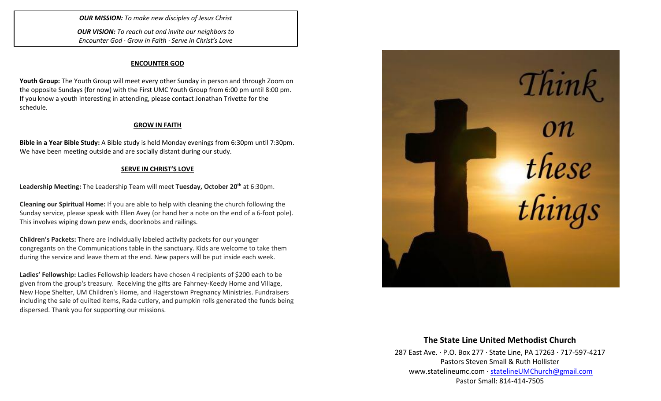*OUR MISSION: To make new disciples of Jesus Christ*

*OUR VISION: To reach out and invite our neighbors to Encounter God · Grow in Faith · Serve in Christ's Love*

#### **ENCOUNTER GOD**

**Youth Group:** The Youth Group will meet every other Sunday in person and through Zoom on the opposite Sundays (for now) with the First UMC Youth Group from 6:00 pm until 8:00 pm. If you know a youth interesting in attending, please contact Jonathan Trivette for the schedule.

## **GROW IN FAITH**

**Bible in a Year Bible Study:** A Bible study is held Monday evenings from 6:30pm until 7:30pm. We have been meeting outside and are socially distant during our study.

## **SERVE IN CHRIST'S LOVE**

**Leadership Meeting:** The Leadership Team will meet **Tuesday, October 20th** at 6:30pm.

**Cleaning our Spiritual Home:** If you are able to help with cleaning the church following the Sunday service, please speak with Ellen Avey (or hand her a note on the end of a 6-foot pole). This involves wiping down pew ends, doorknobs and railings.

**Children's Packets:** There are individually labeled activity packets for our younger congregants on the Communications table in the sanctuary. Kids are welcome to take them during the service and leave them at the end. New papers will be put inside each week.

**Ladies' Fellowship:** Ladies Fellowship leaders have chosen 4 recipients of \$200 each to be given from the group's treasury. Receiving the gifts are Fahrney-Keedy Home and Village, New Hope Shelter, UM Children's Home, and Hagerstown Pregnancy Ministries. Fundraisers including the sale of quilted items, Rada cutlery, and pumpkin rolls generated the funds being dispersed. Thank you for supporting our missions.



## **The State Line United Methodist Church**

287 East Ave. · P.O. Box 277 · State Line, PA 17263 · 717-597-4217 Pastors Steven Small & Ruth Hollister [www.statelineumc.com](http://www.statelineumc.com/) · [statelineUMChurch@gmail.com](mailto:statelineUMChurch@gmail.com) Pastor Small: 814-414-7505